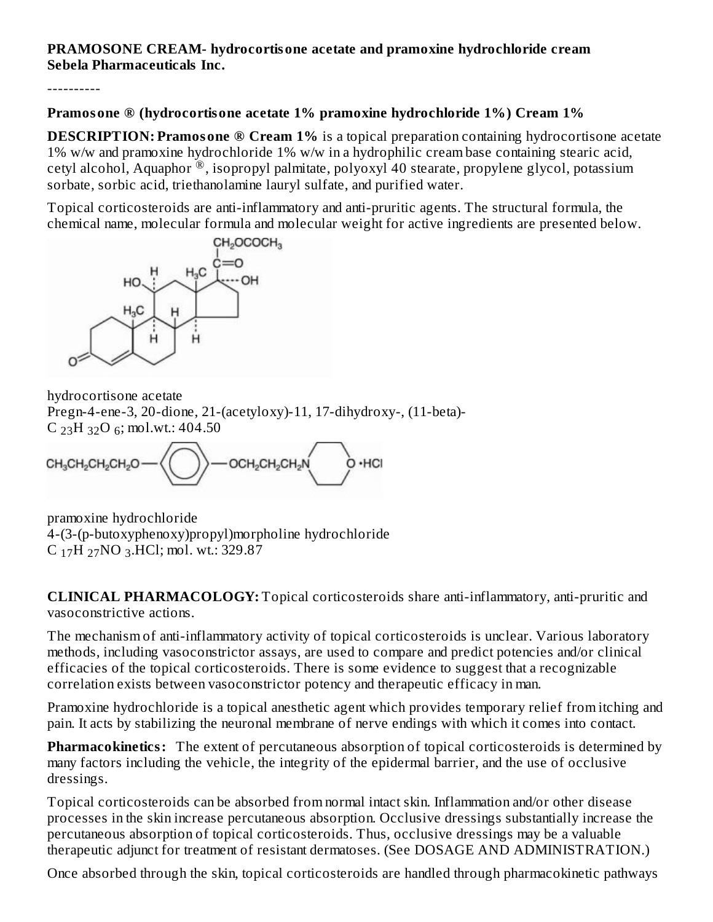### **PRAMOSONE CREAM- hydrocortisone acetate and pramoxine hydrochloride cream Sebela Pharmaceuticals Inc.**

----------

### **Pramosone ® (hydrocortisone acetate 1% pramoxine hydrochloride 1%) Cream 1%**

**DESCRIPTION: Pramosone ® Cream 1%** is a topical preparation containing hydrocortisone acetate 1% w/w and pramoxine hydrochloride 1% w/w in a hydrophilic cream base containing stearic acid, cetyl alcohol, Aquaphor<sup>®</sup>, isopropyl palmitate, polyoxyl 40 stearate, propylene glycol, potassium sorbate, sorbic acid, triethanolamine lauryl sulfate, and purified water.

Topical corticosteroids are anti-inflammatory and anti-pruritic agents. The structural formula, the chemical name, molecular formula and molecular weight for active ingredients are presented below.



hydrocortisone acetate Pregn-4-ene-3, 20-dione, 21-(acetyloxy)-11, 17-dihydroxy-, (11-beta)-  $C_{23}H_{32}O_6$ ; mol.wt.: 404.50

-OCH2CH2CH2N CH<sub>3</sub>CH<sub>2</sub>CH<sub>2</sub>CH<sub>2</sub>O O ·HCI

pramoxine hydrochloride 4-(3-(p-butoxyphenoxy)propyl)morpholine hydrochloride  $C_{17}H_{27}NO_{3}.HCl$ ; mol. wt.: 329.87

**CLINICAL PHARMACOLOGY:** Topical corticosteroids share anti-inflammatory, anti-pruritic and vasoconstrictive actions.

The mechanism of anti-inflammatory activity of topical corticosteroids is unclear. Various laboratory methods, including vasoconstrictor assays, are used to compare and predict potencies and/or clinical efficacies of the topical corticosteroids. There is some evidence to suggest that a recognizable correlation exists between vasoconstrictor potency and therapeutic efficacy in man.

Pramoxine hydrochloride is a topical anesthetic agent which provides temporary relief from itching and pain. It acts by stabilizing the neuronal membrane of nerve endings with which it comes into contact.

**Pharmacokinetics:** The extent of percutaneous absorption of topical corticosteroids is determined by many factors including the vehicle, the integrity of the epidermal barrier, and the use of occlusive dressings.

Topical corticosteroids can be absorbed from normal intact skin. Inflammation and/or other disease processes in the skin increase percutaneous absorption. Occlusive dressings substantially increase the percutaneous absorption of topical corticosteroids. Thus, occlusive dressings may be a valuable therapeutic adjunct for treatment of resistant dermatoses. (See DOSAGE AND ADMINISTRATION.)

Once absorbed through the skin, topical corticosteroids are handled through pharmacokinetic pathways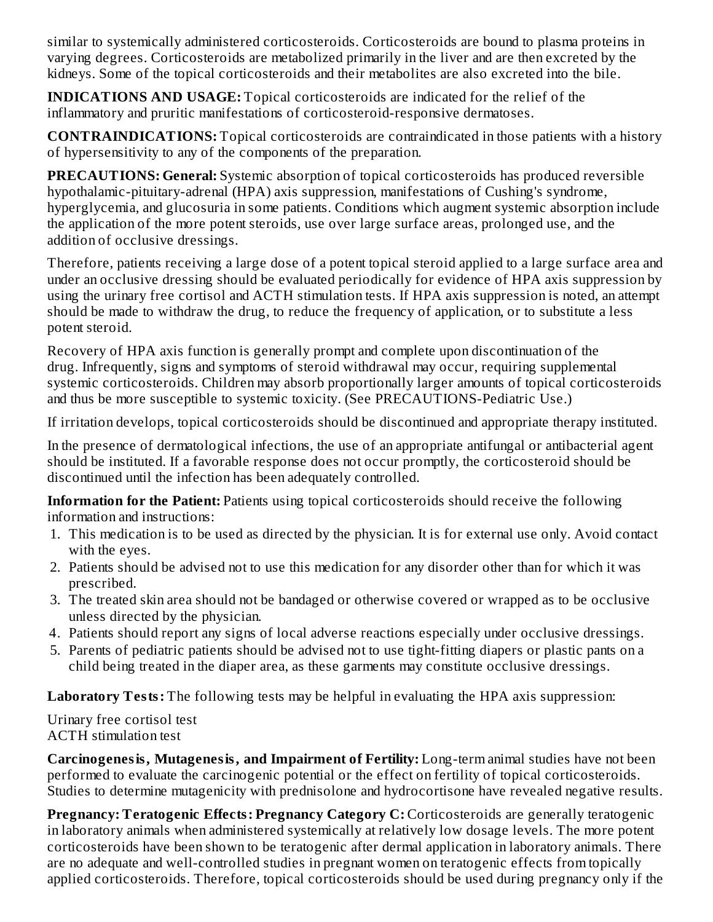similar to systemically administered corticosteroids. Corticosteroids are bound to plasma proteins in varying degrees. Corticosteroids are metabolized primarily in the liver and are then excreted by the kidneys. Some of the topical corticosteroids and their metabolites are also excreted into the bile.

**INDICATIONS AND USAGE:** Topical corticosteroids are indicated for the relief of the inflammatory and pruritic manifestations of corticosteroid-responsive dermatoses.

**CONTRAINDICATIONS:** Topical corticosteroids are contraindicated in those patients with a history of hypersensitivity to any of the components of the preparation.

**PRECAUTIONS: General:** Systemic absorption of topical corticosteroids has produced reversible hypothalamic-pituitary-adrenal (HPA) axis suppression, manifestations of Cushing's syndrome, hyperglycemia, and glucosuria in some patients. Conditions which augment systemic absorption include the application of the more potent steroids, use over large surface areas, prolonged use, and the addition of occlusive dressings.

Therefore, patients receiving a large dose of a potent topical steroid applied to a large surface area and under an occlusive dressing should be evaluated periodically for evidence of HPA axis suppression by using the urinary free cortisol and ACTH stimulation tests. If HPA axis suppression is noted, an attempt should be made to withdraw the drug, to reduce the frequency of application, or to substitute a less potent steroid.

Recovery of HPA axis function is generally prompt and complete upon discontinuation of the drug. Infrequently, signs and symptoms of steroid withdrawal may occur, requiring supplemental systemic corticosteroids. Children may absorb proportionally larger amounts of topical corticosteroids and thus be more susceptible to systemic toxicity. (See PRECAUTIONS-Pediatric Use.)

If irritation develops, topical corticosteroids should be discontinued and appropriate therapy instituted.

In the presence of dermatological infections, the use of an appropriate antifungal or antibacterial agent should be instituted. If a favorable response does not occur promptly, the corticosteroid should be discontinued until the infection has been adequately controlled.

**Information for the Patient:** Patients using topical corticosteroids should receive the following information and instructions:

- 1. This medication is to be used as directed by the physician. It is for external use only. Avoid contact with the eyes.
- 2. Patients should be advised not to use this medication for any disorder other than for which it was prescribed.
- 3. The treated skin area should not be bandaged or otherwise covered or wrapped as to be occlusive unless directed by the physician.
- 4. Patients should report any signs of local adverse reactions especially under occlusive dressings.
- 5. Parents of pediatric patients should be advised not to use tight-fitting diapers or plastic pants on a child being treated in the diaper area, as these garments may constitute occlusive dressings.

**Laboratory Tests:** The following tests may be helpful in evaluating the HPA axis suppression:

Urinary free cortisol test ACTH stimulation test

**Carcinogenesis, Mutagenesis, and Impairment of Fertility:** Long-term animal studies have not been performed to evaluate the carcinogenic potential or the effect on fertility of topical corticosteroids. Studies to determine mutagenicity with prednisolone and hydrocortisone have revealed negative results.

**Pregnancy: Teratogenic Effects: Pregnancy Category C:** Corticosteroids are generally teratogenic in laboratory animals when administered systemically at relatively low dosage levels. The more potent corticosteroids have been shown to be teratogenic after dermal application in laboratory animals. There are no adequate and well-controlled studies in pregnant women on teratogenic effects from topically applied corticosteroids. Therefore, topical corticosteroids should be used during pregnancy only if the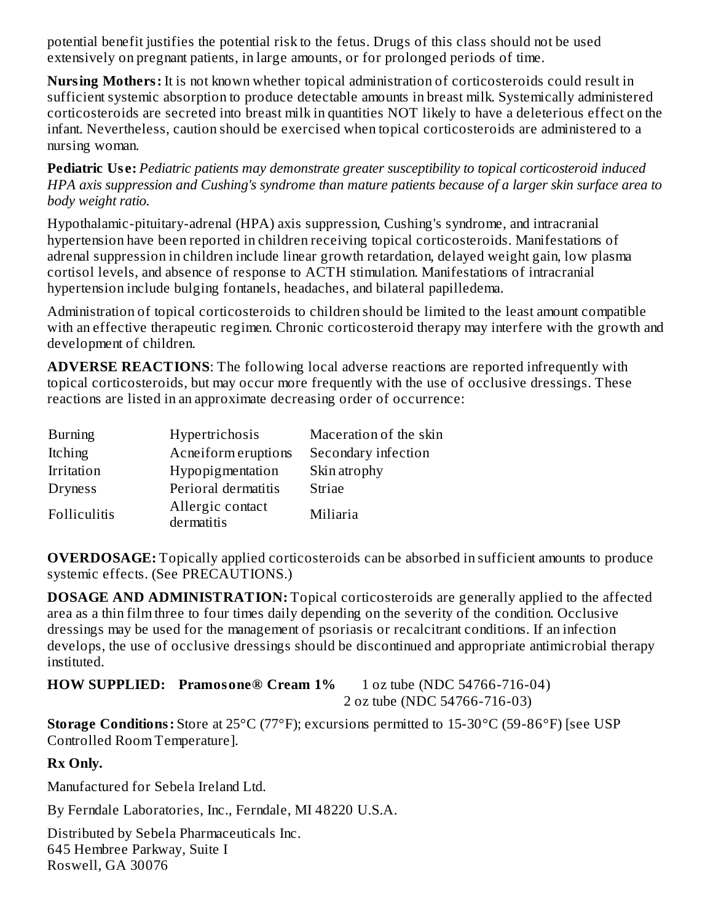potential benefit justifies the potential risk to the fetus. Drugs of this class should not be used extensively on pregnant patients, in large amounts, or for prolonged periods of time.

**Nursing Mothers:** It is not known whether topical administration of corticosteroids could result in sufficient systemic absorption to produce detectable amounts in breast milk. Systemically administered corticosteroids are secreted into breast milk in quantities NOT likely to have a deleterious effect on the infant. Nevertheless, caution should be exercised when topical corticosteroids are administered to a nursing woman.

**Pediatric Us e:** *Pediatric patients may demonstrate greater susceptibility to topical corticosteroid induced HPA axis suppression and Cushing's syndrome than mature patients because of a larger skin surface area to body weight ratio.*

Hypothalamic-pituitary-adrenal (HPA) axis suppression, Cushing's syndrome, and intracranial hypertension have been reported in children receiving topical corticosteroids. Manifestations of adrenal suppression in children include linear growth retardation, delayed weight gain, low plasma cortisol levels, and absence of response to ACTH stimulation. Manifestations of intracranial hypertension include bulging fontanels, headaches, and bilateral papilledema.

Administration of topical corticosteroids to children should be limited to the least amount compatible with an effective therapeutic regimen. Chronic corticosteroid therapy may interfere with the growth and development of children.

**ADVERSE REACTIONS**: The following local adverse reactions are reported infrequently with topical corticosteroids, but may occur more frequently with the use of occlusive dressings. These reactions are listed in an approximate decreasing order of occurrence:

| <b>Burning</b> | Hypertrichosis                 | Maceration of the skin<br>Secondary infection |  |
|----------------|--------------------------------|-----------------------------------------------|--|
| <b>Itching</b> | Acneiform eruptions            |                                               |  |
| Irritation     | Hypopigmentation               | Skin atrophy                                  |  |
| <b>Dryness</b> | Perioral dermatitis            | Striae                                        |  |
| Folliculitis   | Allergic contact<br>dermatitis | Miliaria                                      |  |

**OVERDOSAGE:** Topically applied corticosteroids can be absorbed in sufficient amounts to produce systemic effects. (See PRECAUTIONS.)

**DOSAGE AND ADMINISTRATION:** Topical corticosteroids are generally applied to the affected area as a thin film three to four times daily depending on the severity of the condition. Occlusive dressings may be used for the management of psoriasis or recalcitrant conditions. If an infection develops, the use of occlusive dressings should be discontinued and appropriate antimicrobial therapy instituted.

**HOW SUPPLIED: Pramosone® Cream 1%** 1 oz tube (NDC 54766-716-04) 2 oz tube (NDC 54766-716-03)

**Storage Conditions:** Store at 25°C (77°F); excursions permitted to 15-30°C (59-86°F) [see USP Controlled Room Temperature].

## **Rx Only.**

Manufactured for Sebela Ireland Ltd.

By Ferndale Laboratories, Inc., Ferndale, MI 48220 U.S.A.

Distributed by Sebela Pharmaceuticals Inc. 645 Hembree Parkway, Suite I Roswell, GA 30076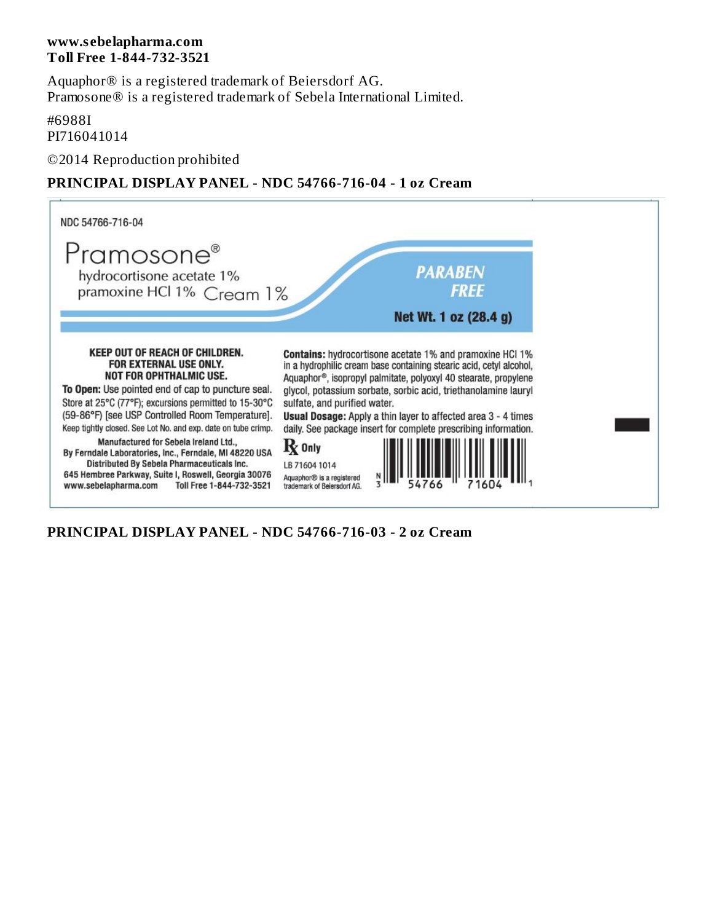#### **www.s ebelapharma.com Toll Free 1-844-732-3521**

Aquaphor® is a registered trademark of Beiersdorf AG. Pramosone® is a registered trademark of Sebela International Limited.

#### #6988I

PI716041014

©2014 Reproduction prohibited

# **PRINCIPAL DISPLAY PANEL - NDC 54766-716-04 - 1 oz Cream**



**PRINCIPAL DISPLAY PANEL - NDC 54766-716-03 - 2 oz Cream**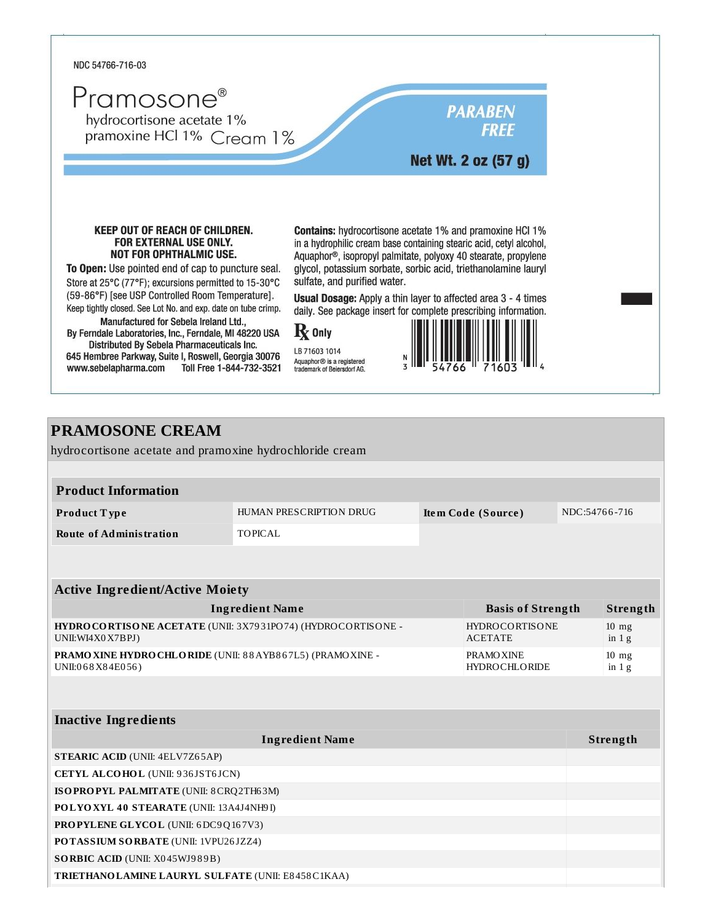

# **PRAMOSONE CREAM**

hydrocortisone acetate and pramoxine hydrochloride cream

| <b>Product Information</b> |                                |                    |               |
|----------------------------|--------------------------------|--------------------|---------------|
| Product Type               | <b>HUMAN PRESCRIPTION DRUG</b> | Item Code (Source) | NDC:54766-716 |
| Route of Administration    | TOPICAL                        |                    |               |

| <b>Active Ingredient/Active Moiety</b>                      |                          |                 |  |
|-------------------------------------------------------------|--------------------------|-----------------|--|
| <b>Ingredient Name</b>                                      | <b>Basis of Strength</b> | Strength        |  |
| HYDROCORTISONE ACETATE (UNII: 3X7931PO74) (HYDROCORTISONE - | <b>HYDROCORTISONE</b>    | $10 \text{ mg}$ |  |
| UNII:WI4X0X7BPJ)                                            | <b>ACETATE</b>           | in $1g$         |  |
| PRAMO XINE HYDRO CHLORIDE (UNII: 88 AYB867L5) (PRAMO XINE - | <b>PRAMOXINE</b>         | $10$ mg         |  |
| UNII:068X84E056)                                            | HYDROCHLORIDE            | in $1g$         |  |

| <b>Inactive Ingredients</b>                               |          |  |
|-----------------------------------------------------------|----------|--|
| <b>Ingredient Name</b>                                    | Strength |  |
| <b>STEARIC ACID (UNII: 4ELV7Z65AP)</b>                    |          |  |
| <b>CETYL ALCOHOL</b> (UNII: 936JST6JCN)                   |          |  |
| ISOPROPYL PALMITATE (UNII: 8 CRQ2TH63M)                   |          |  |
| POLYOXYL 40 STEARATE (UNII: 13A4J4NH9I)                   |          |  |
| <b>PROPYLENE GLYCOL</b> (UNII: 6DC9Q167V3)                |          |  |
| <b>POTASSIUM SORBATE (UNII: 1VPU26JZZ4)</b>               |          |  |
| <b>SORBIC ACID (UNII: X045WJ989B)</b>                     |          |  |
| <b>TRIETHANO LAMINE LAURYL SULFATE (UNII: E8458C1KAA)</b> |          |  |